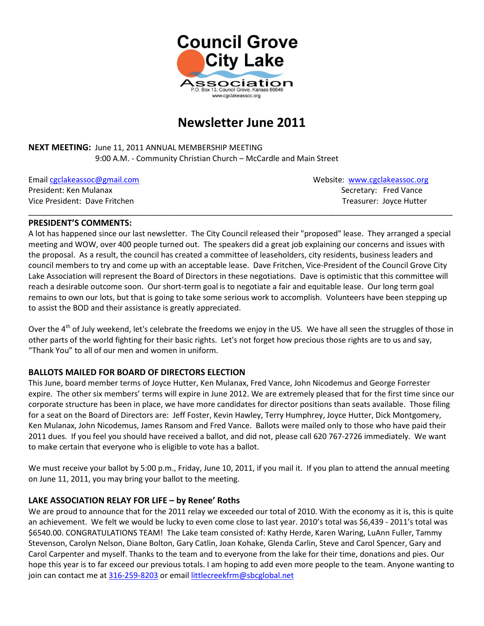

# **Newsletter June 2011**

### **NEXT MEETING:** June 11, 2011 ANNUAL MEMBERSHIP MEETING 9:00 A.M. - Community Christian Church – McCardle and Main Street

President: Ken Mulanax Secretary: Fred Vance

Email [cgclakeassoc@gmail.com](mailto:cgclakeassoc@gmail.com) and the community of the community websit[e: www.cgclakeassoc.org](http://:%20%20www.cgclakeassoc.org%0d) Vice President: Dave Fritchen Treasurer: Joyce Hutter

### **PRESIDENT'S COMMENTS:**

A lot has happened since our last newsletter. The City Council released their "proposed" lease. They arranged a special meeting and WOW, over 400 people turned out. The speakers did a great job explaining our concerns and issues with the proposal. As a result, the council has created a committee of leaseholders, city residents, business leaders and council members to try and come up with an acceptable lease. Dave Fritchen, Vice-President of the Council Grove City Lake Association will represent the Board of Directors in these negotiations. Dave is optimistic that this committee will reach a desirable outcome soon. Our short-term goal is to negotiate a fair and equitable lease. Our long term goal remains to own our lots, but that is going to take some serious work to accomplish. Volunteers have been stepping up to assist the BOD and their assistance is greatly appreciated.

\_\_\_\_\_\_\_\_\_\_\_\_\_\_\_\_\_\_\_\_\_\_\_\_\_\_\_\_\_\_\_\_\_\_\_\_\_\_\_\_\_\_\_\_\_\_\_\_\_\_\_\_\_\_\_\_\_\_\_\_\_\_\_\_\_\_\_\_\_\_\_\_\_\_\_\_\_\_\_\_\_\_\_\_\_\_\_\_\_\_\_\_\_\_\_\_\_\_

Over the  $4^{th}$  of July weekend, let's celebrate the freedoms we enjoy in the US. We have all seen the struggles of those in other parts of the world fighting for their basic rights. Let's not forget how precious those rights are to us and say, "Thank You" to all of our men and women in uniform.

### **BALLOTS MAILED FOR BOARD OF DIRECTORS ELECTION**

This June, board member terms of Joyce Hutter, Ken Mulanax, Fred Vance, John Nicodemus and George Forrester expire. The other six members' terms will expire in June 2012. We are extremely pleased that for the first time since our corporate structure has been in place, we have more candidates for director positions than seats available. Those filing for a seat on the Board of Directors are: Jeff Foster, Kevin Hawley, Terry Humphrey, Joyce Hutter, Dick Montgomery, Ken Mulanax, John Nicodemus, James Ransom and Fred Vance. Ballots were mailed only to those who have paid their 2011 dues. If you feel you should have received a ballot, and did not, please call 620 767-2726 immediately. We want to make certain that everyone who is eligible to vote has a ballot.

We must receive your ballot by 5:00 p.m., Friday, June 10, 2011, if you mail it. If you plan to attend the annual meeting on June 11, 2011, you may bring your ballot to the meeting.

#### **LAKE ASSOCIATION RELAY FOR LIFE – by Renee' Roths**

We are proud to announce that for the 2011 relay we exceeded our total of 2010. With the economy as it is, this is quite an achievement. We felt we would be lucky to even come close to last year. 2010's total was \$6,439 - 2011's total was \$6540.00. CONGRATULATIONS TEAM! The Lake team consisted of: Kathy Herde, Karen Waring, LuAnn Fuller, Tammy Stevenson, Carolyn Nelson, Diane Bolton, Gary Catlin, Joan Kohake, Glenda Carlin, Steve and Carol Spencer, Gary and Carol Carpenter and myself. Thanks to the team and to everyone from the lake for their time, donations and pies. Our hope this year is to far exceed our previous totals. I am hoping to add even more people to the team. Anyone wanting to join can contact me a[t 316-259-8203](tel:316-259-8203) or email [littlecreekfrm@sbcglobal.net](mailto:littlecreekfrm@sbcglobal.net)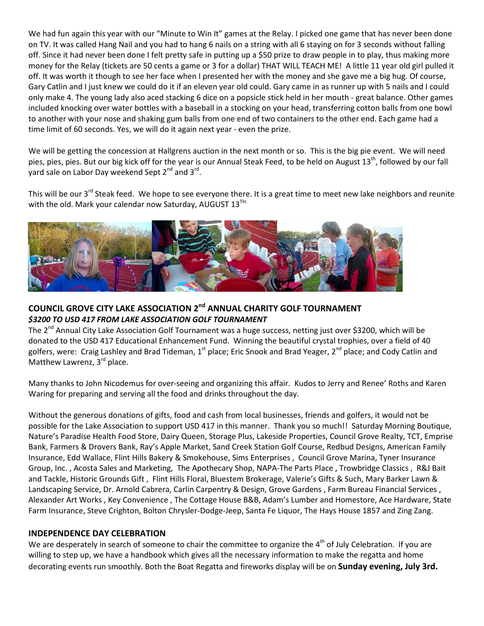We had fun again this year with our "Minute to Win It" games at the Relay. I picked one game that has never been done on TV. It was called Hang Nail and you had to hang 6 nails on a string with all 6 staying on for 3 seconds without falling off. Since it had never been done I felt pretty safe in putting up a \$50 prize to draw people in to play, thus making more money for the Relay (tickets are 50 cents a game or 3 for a dollar) THAT WILL TEACH ME! A little 11 year old girl pulled it off. It was worth it though to see her face when I presented her with the money and she gave me a big hug. Of course, Gary Catlin and I just knew we could do it if an eleven year old could. Gary came in as runner up with 5 nails and I could only make 4. The young lady also aced stacking 6 dice on a popsicle stick held in her mouth - great balance. Other games included knocking over water bottles with a baseball in a stocking on your head, transferring cotton balls from one bowl to another with your nose and shaking gum balls from one end of two containers to the other end. Each game had a time limit of 60 seconds. Yes, we will do it again next year - even the prize.

We will be getting the concession at Hallgrens auction in the next month or so. This is the big pie event. We will need pies, pies, pies. But our big kick off for the year is our Annual Steak Feed, to be held on August  $13<sup>th</sup>$ , followed by our fall yard sale on Labor Day weekend Sept 2<sup>nd</sup> and 3<sup>rd</sup>.

This will be our 3<sup>rd</sup> Steak feed. We hope to see everyone there. It is a great time to meet new lake neighbors and reunite with the old. Mark your calendar now Saturday, AUGUST  $13^{\text{TH}}$ .



## **COUNCIL GROVE CITY LAKE ASSOCIATION 2nd ANNUAL CHARITY GOLF TOURNAMENT** *\$3200 TO USD 417 FROM LAKE ASSOCIATION GOLF TOURNAMENT*

The 2<sup>nd</sup> Annual City Lake Association Golf Tournament was a huge success, netting just over \$3200, which will be donated to the USD 417 Educational Enhancement Fund. Winning the beautiful crystal trophies, over a field of 40 golfers, were: Craig Lashley and Brad Tideman, 1<sup>st</sup> place; Eric Snook and Brad Yeager, 2<sup>nd</sup> place; and Cody Catlin and Matthew Lawrenz, 3<sup>rd</sup> place.

Many thanks to John Nicodemus for over-seeing and organizing this affair. Kudos to Jerry and Renee' Roths and Karen Waring for preparing and serving all the food and drinks throughout the day.

Without the generous donations of gifts, food and cash from local businesses, friends and golfers, it would not be possible for the Lake Association to support USD 417 in this manner. Thank you so much!! Saturday Morning Boutique, Nature's Paradise Health Food Store, Dairy Queen, Storage Plus, Lakeside Properties, Council Grove Realty, TCT, Emprise Bank, Farmers & Drovers Bank, Ray's Apple Market, Sand Creek Station Golf Course, Redbud Designs, American Family Insurance, Edd Wallace, Flint Hills Bakery & Smokehouse, Sims Enterprises , Council Grove Marina, Tyner Insurance Group, Inc. , Acosta Sales and Marketing, The Apothecary Shop, NAPA-The Parts Place , Trowbridge Classics , R&J Bait and Tackle, Historic Grounds Gift , Flint Hills Floral, Bluestem Brokerage, Valerie's Gifts & Such, Mary Barker Lawn & Landscaping Service, Dr. Arnold Cabrera, Carlin Carpentry & Design, Grove Gardens , Farm Bureau Financial Services , Alexander Art Works , Key Convenience , The Cottage House B&B, Adam's Lumber and Homestore, Ace Hardware, State Farm Insurance, Steve Crighton, Bolton Chrysler-Dodge-Jeep, Santa Fe Liquor, The Hays House 1857 and Zing Zang.

### **INDEPENDENCE DAY CELEBRATION**

We are desperately in search of someone to chair the committee to organize the 4<sup>th</sup> of July Celebration. If you are willing to step up, we have a handbook which gives all the necessary information to make the regatta and home decorating events run smoothly. Both the Boat Regatta and fireworks display will be on **Sunday evening, July 3rd.**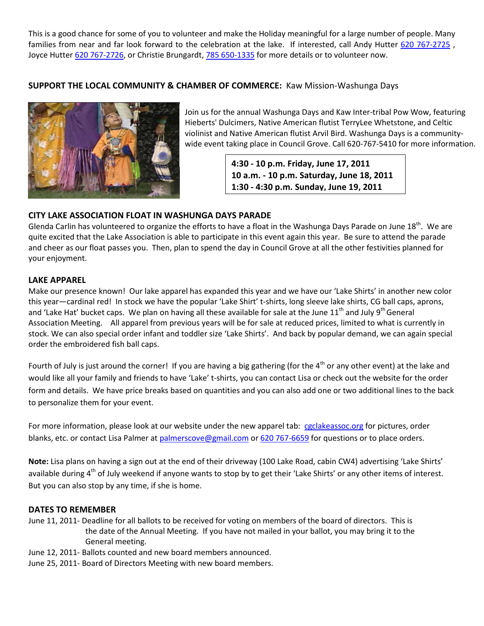This is a good chance for some of you to volunteer and make the Holiday meaningful for a large number of people. Many families from near and far look forward to the celebration at the lake. If interested, call Andy Hutter [620 767-2725](tel:620%20767%202725) , Joyce Hutte[r 620 767-2726,](tel:620%20767%202726) or Christie Brungardt[, 785 650-1335](tel:785%20650%201335) for more details or to volunteer now.

### **SUPPORT THE LOCAL COMMUNITY & CHAMBER OF COMMERCE:** Kaw Mission-Washunga Days



Join us for the annual Washunga Days and Kaw Inter-tribal Pow Wow, featuring Hieberts' Dulcimers, Native American flutist TerryLee Whetstone, and Celtic violinist and Native American flutist Arvil Bird. Washunga Days is a communitywide event taking place in Council Grove. Call 620-767-5410 for more information.

> **4:30 - 10 p.m. Friday, June 17, 2011 10 a.m. - 10 p.m. Saturday, June 18, 2011 1:30 - 4:30 p.m. Sunday, June 19, 2011**

### **CITY LAKE ASSOCIATION FLOAT IN WASHUNGA DAYS PARADE**

Glenda Carlin has volunteered to organize the efforts to have a float in the Washunga Days Parade on June 18<sup>th</sup>. We are quite excited that the Lake Association is able to participate in this event again this year. Be sure to attend the parade and cheer as our float passes you. Then, plan to spend the day in Council Grove at all the other festivities planned for your enjoyment.

### **LAKE APPAREL**

Make our presence known! Our lake apparel has expanded this year and we have our 'Lake Shirts' in another new color this year—cardinal red! In stock we have the popular 'Lake Shirt' t-shirts, long sleeve lake shirts, CG ball caps, aprons, and 'Lake Hat' bucket caps. We plan on having all these available for sale at the June  $11^{th}$  and July  $9^{th}$  General Association Meeting. All apparel from previous years will be for sale at reduced prices, limited to what is currently in stock. We can also special order infant and toddler size 'Lake Shirts'. And back by popular demand, we can again special order the embroidered fish ball caps.

Fourth of July is just around the corner! If you are having a big gathering (for the 4<sup>th</sup> or any other event) at the lake and would like all your family and friends to have 'Lake' t-shirts, you can contact Lisa or check out the website for the order form and details. We have price breaks based on quantities and you can also add one or two additional lines to the back to personalize them for your event.

For more information, please look at our website under the new apparel tab: [cgclakeassoc.org](http://cgclakeassoc.org/) for pictures, order blanks, etc. or contact Lisa Palmer at [palmerscove@gmail.com](mailto:palmerscove@gmail.com) o[r 620 767-6659](tel:620%20767-6659) for questions or to place orders.

**Note:** Lisa plans on having a sign out at the end of their driveway (100 Lake Road, cabin CW4) advertising 'Lake Shirts' available during  $4<sup>th</sup>$  of July weekend if anyone wants to stop by to get their 'Lake Shirts' or any other items of interest. But you can also stop by any time, if she is home.

#### **DATES TO REMEMBER**

- June 11, 2011- Deadline for all ballots to be received for voting on members of the board of directors. This is the date of the Annual Meeting. If you have not mailed in your ballot, you may bring it to the General meeting.
- June 12, 2011- Ballots counted and new board members announced.
- June 25, 2011- Board of Directors Meeting with new board members.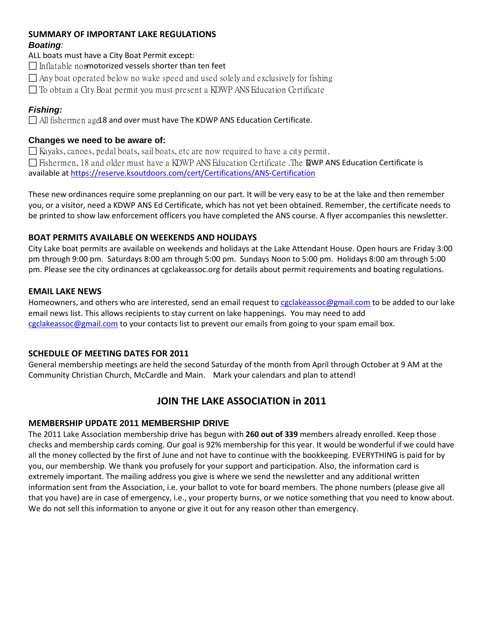# **SUMMARY OF IMPORTANT LAKE REGULATIONS**

## *Boating:*

ALL boats must have a City Boat Permit except:

 $\Box$  Inflatable nonmotorized vessels shorter than ten feet

- $\Box$  Any boat operated below no wake speed and used solely and exclusively for fishing
- $\Box$  To obtain a City Boat permit you must present a KDWP ANS Education Certificate

## *Fishing:*

 $\Box$  All fishermen age 18 and over must have The KDWP ANS Education Certificate.

## **Changes we need to be aware of:**

 $\Box$  Kayaks, canoes, pedal boats, sail boats, etc are now required to have a city permit.

 $\Box$  Fishermen, 18 and older must have a KDWP ANS Education Certificate .The **EWP ANS Education Certificate is** available a[t https://reserve.ksoutdoors.com/cert/Certifications/ANS-Certification](https://reserve.ksoutdoors.com/cert/Certifications/ANS-Certification)

These new ordinances require some preplanning on our part. It will be very easy to be at the lake and then remember you, or a visitor, need a KDWP ANS Ed Certificate, which has not yet been obtained. Remember, the certificate needs to be printed to show law enforcement officers you have completed the ANS course. A flyer accompanies this newsletter.

## **BOAT PERMITS AVAILABLE ON WEEKENDS AND HOLIDAYS**

City Lake boat permits are available on weekends and holidays at the Lake Attendant House. Open hours are Friday 3:00 pm through 9:00 pm. Saturdays 8:00 am through 5:00 pm. Sundays Noon to 5:00 pm. Holidays 8:00 am through 5:00 pm. Please see the city ordinances at cgclakeassoc.org for details about permit requirements and boating regulations.

## **EMAIL LAKE NEWS**

Homeowners, and others who are interested, send an email request to [cgclakeassoc@gmail.com](mailto:cgclakeassoc@gmail.com) to be added to our lake email news list. This allows recipients to stay current on lake happenings. You may need to add [cgclakeassoc@gmail.com](mailto:cgclakeassoc@gmail.com) to your contacts list to prevent our emails from going to your spam email box.

## **SCHEDULE OF MEETING DATES FOR 2011**

General membership meetings are held the second Saturday of the month from April through October at 9 AM at the Community Christian Church, McCardle and Main. Mark your calendars and plan to attend!

## **JOIN THE LAKE ASSOCIATION in 2011**

## **MEMBERSHIP UPDATE 2011 MEMBERSHIP DRIVE**

The 2011 Lake Association membership drive has begun with **260 out of 339** members already enrolled. Keep those checks and membership cards coming. Our goal is 92% membership for this year. It would be wonderful if we could have all the money collected by the first of June and not have to continue with the bookkeeping. EVERYTHING is paid for by you, our membership. We thank you profusely for your support and participation. Also, the information card is extremely important. The mailing address you give is where we send the newsletter and any additional written information sent from the Association, i.e. your ballot to vote for board members. The phone numbers (please give all that you have) are in case of emergency, i.e., your property burns, or we notice something that you need to know about. We do not sell this information to anyone or give it out for any reason other than emergency.